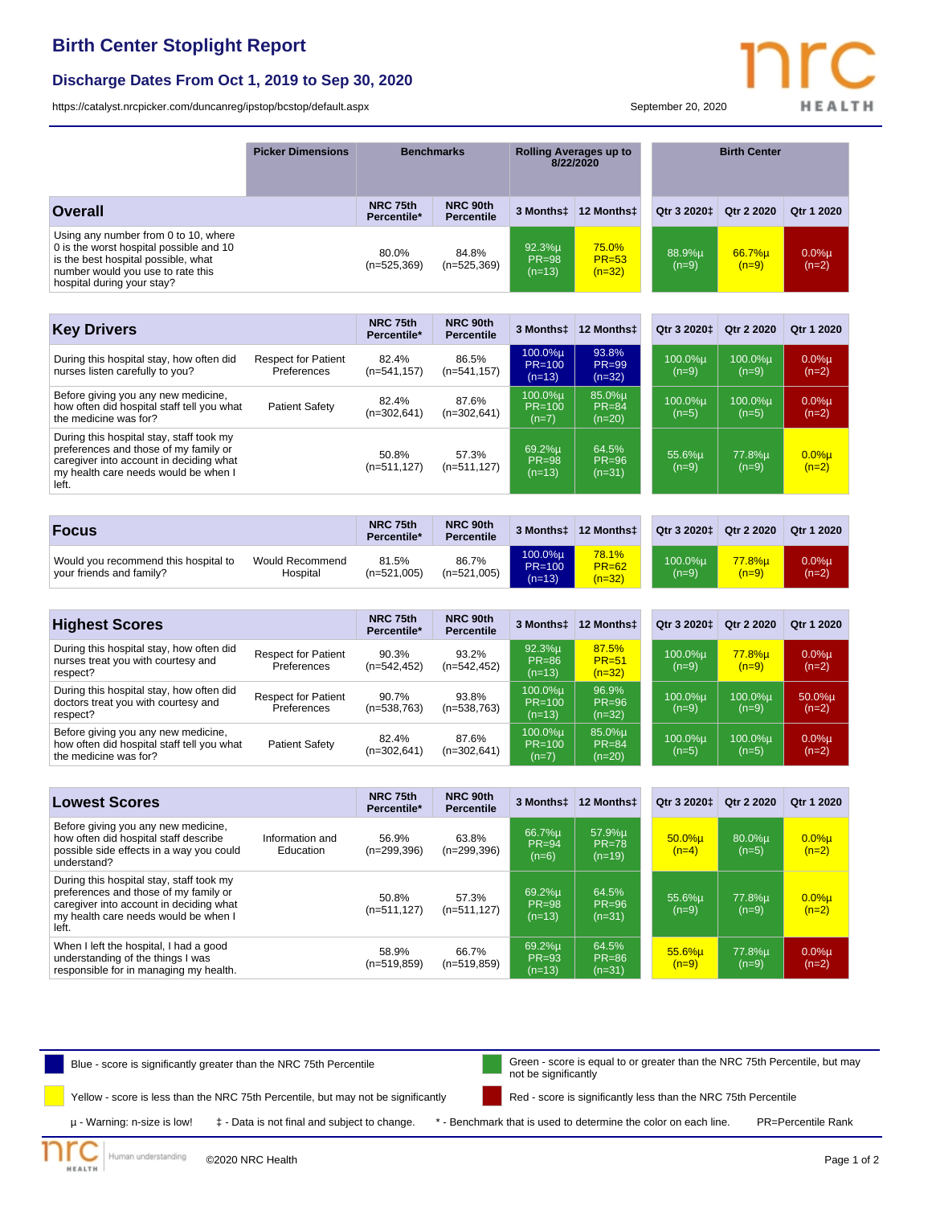## **Birth Center Stoplight Report**

#### **Discharge Dates From Oct 1, 2019 to Sep 30, 2020**

<https://catalyst.nrcpicker.com/duncanreg/ipstop/bcstop/default.aspx> September 20, 2020

| Blue - score is significantly greater than the NRC 75th Percentile | Green - score is equal to or greater than the NRC 75th Percentile, but may |
|--------------------------------------------------------------------|----------------------------------------------------------------------------|
|--------------------------------------------------------------------|----------------------------------------------------------------------------|

Yellow - score is less than the NRC 75th Percentile, but may not be significantly

©2020 NRC Health

Human understanding

**EALTH** 

µ - Warning: n-size is low! ‡ - Data is not final and subject to change. \* - Benchmark that is used to determine the color on each line. PR=Percentile Rank

Red - score is significantly less than the NRC 75th Percentile

not be significantly

| <b>Overall</b>                                                                                                                                                                            |                                           | NRC 75th<br>Percentile* | NRC 90th<br><b>Percentile</b> | 3 Monthst                          | 12 Monthst                        | Qtr 3 2020‡             | Qtr 2 2020         | Qtr 1 2020          |
|-------------------------------------------------------------------------------------------------------------------------------------------------------------------------------------------|-------------------------------------------|-------------------------|-------------------------------|------------------------------------|-----------------------------------|-------------------------|--------------------|---------------------|
| Using any number from 0 to 10, where<br>0 is the worst hospital possible and 10<br>is the best hospital possible, what<br>number would you use to rate this<br>hospital during your stay? |                                           | 80.0%<br>$(n=525,369)$  | 84.8%<br>$(n=525,369)$        | 92.3%u<br><b>PR=98</b><br>$(n=13)$ | 75.0%<br>$PR = 53$<br>$(n=32)$    | 88.9%µ<br>$(n=9)$       | 66.7%µ<br>$(n=9)$  | $0.0%$ µ<br>$(n=2)$ |
|                                                                                                                                                                                           |                                           |                         |                               |                                    |                                   |                         |                    |                     |
| <b>Key Drivers</b>                                                                                                                                                                        |                                           | NRC 75th<br>Percentile* | NRC 90th<br><b>Percentile</b> | 3 Monthst                          | 12 Monthst                        | Qtr 3 2020 <sup>+</sup> | Otr 2 2020         | Otr 1 2020          |
| During this hospital stay, how often did<br>nurses listen carefully to you?                                                                                                               | <b>Respect for Patient</b><br>Preferences | 82.4%<br>$(n=541, 157)$ | 86.5%<br>$(n=541, 157)$       | 100.0%µ<br>$PR=100$<br>$(n=13)$    | 93.8%<br><b>PR=99</b><br>$(n=32)$ | 100.0%µ<br>$(n=9)$      | 100.0%µ<br>$(n=9)$ | $0.0%$ µ<br>$(n=2)$ |
| Before giving you any new medicine,<br>how often did hospital staff tell you what<br>the medicine was for?                                                                                | <b>Patient Safety</b>                     | 82.4%<br>$(n=302,641)$  | 87.6%<br>$(n=302,641)$        | 100.0%u<br>$PR=100$<br>$(n=7)$     | 85.0%u<br>$PR = 84$<br>$(n=20)$   | 100.0%µ<br>$(n=5)$      | 100.0%µ<br>$(n=5)$ | $0.0%$ µ<br>$(n=2)$ |
| During this hospital stay, staff took my<br>preferences and those of my family or<br>caregiver into account in deciding what<br>my health care needs would be when I<br>left.             |                                           | 50.8%<br>$(n=511, 127)$ | 57.3%<br>$(n=511, 127)$       | 69.2%u<br>$PR = 98$<br>$(n=13)$    | 64.5%<br>$PR = 96$<br>$(n=31)$    | 55.6%µ<br>$(n=9)$       | 77.8%µ<br>$(n=9)$  | $0.0%$ µ<br>$(n=2)$ |
|                                                                                                                                                                                           |                                           |                         |                               |                                    |                                   |                         |                    |                     |
| <b>Focus</b>                                                                                                                                                                              |                                           | NRC 75th<br>Percentile* | NRC 90th<br><b>Percentile</b> | 3 Monthst                          | 12 Monthst                        | Qtr 3 20201             | Qtr 2 2020         | Qtr 1 2020          |
| Would you recommend this hospital to<br>your friends and family?                                                                                                                          | <b>Would Recommend</b><br>Hospital        | 81.5%<br>$(n=521,005)$  | 86.7%<br>$(n=521,005)$        | 100.0%µ<br>$PR=100$<br>$(n=13)$    | 78.1%<br>$PR = 62$<br>$(n=32)$    | 100.0%µ<br>$(n=9)$      | 77.8%µ<br>$(n=9)$  | $0.0%$ µ<br>$(n=2)$ |
|                                                                                                                                                                                           |                                           |                         |                               |                                    |                                   |                         |                    |                     |
| <b>Highest Scores</b>                                                                                                                                                                     |                                           | NRC 75th<br>Percentile* | NRC 90th<br><b>Percentile</b> | 3 Monthst                          | 12 Monthst                        | Qtr 3 2020±             | Otr 2 2020         | Qtr 1 2020          |
| During this hospital stay, how often did<br>nurses treat you with courtesy and<br>respect?                                                                                                | <b>Respect for Patient</b><br>Preferences | 90.3%<br>$(n=542, 452)$ | 93.2%<br>$(n=542, 452)$       | 92.3%µ<br><b>PR=86</b><br>$(n=13)$ | 87.5%<br>$PR = 51$<br>$(n=32)$    | 100.0%u<br>$(n=9)$      | 77.8%u<br>$(n=9)$  | $0.0%$ µ<br>$(n=2)$ |
| During this hospital stay, how often did<br>doctors treat you with courtesy and<br>respect?                                                                                               | <b>Respect for Patient</b><br>Preferences | 90.7%<br>$(n=538,763)$  | 93.8%<br>$(n=538,763)$        | 100.0%u<br>$PR=100$<br>$(n=13)$    | 96.9%<br>$PR = 96$<br>$(n=32)$    | 100.0%µ<br>$(n=9)$      | 100.0%u<br>$(n=9)$ | 50.0%µ<br>$(n=2)$   |
| Before giving you any new medicine,<br>how often did hospital staff tell you what<br>the medicine was for?                                                                                | <b>Patient Safety</b>                     | 82.4%<br>$(n=302,641)$  | 87.6%<br>$(n=302,641)$        | 100.0%u<br>$PR=100$<br>$(n=7)$     | 85.0%u<br>$PR = 84$<br>$(n=20)$   | 100.0%µ<br>$(n=5)$      | 100.0%µ<br>$(n=5)$ | $0.0%$ µ<br>$(n=2)$ |
|                                                                                                                                                                                           |                                           |                         |                               |                                    |                                   |                         |                    |                     |

**Picker Dimensions Benchmarks Rolling Averages up to 8/22/2020**

| <b>Lowest Scores</b>                                                                                                                                                          | NRC 75th<br>Percentile* | NRC 90th<br><b>Percentile</b> | 3 Monthst                       | 12 Monthst                      | Qtr 3 2020 <sup>±</sup> | Qtr 2 2020            | Qtr 1 2020          |
|-------------------------------------------------------------------------------------------------------------------------------------------------------------------------------|-------------------------|-------------------------------|---------------------------------|---------------------------------|-------------------------|-----------------------|---------------------|
| Before giving you any new medicine,<br>how often did hospital staff describe<br>Information and<br>possible side effects in a way you could<br>Education<br>understand?       | 56.9%<br>$(n=299,396)$  | 63.8%<br>$(n=299,396)$        | 66.7%µ<br>$PR = 94$<br>$(n=6)$  | 57.9%µ<br>$PR = 78$<br>$(n=19)$ | $50.0%$ u<br>$(n=4)$    | $80.0\%$ u<br>$(n=5)$ | $0.0%$ µ<br>$(n=2)$ |
| During this hospital stay, staff took my<br>preferences and those of my family or<br>caregiver into account in deciding what<br>my health care needs would be when I<br>left. | 50.8%<br>$(n=511.127)$  | 57.3%<br>$(n=511, 127)$       | 69.2%µ<br>$PR = 98$<br>$(n=13)$ | 64.5%<br>$PR = 96$<br>$(n=31)$  | 55.6%u<br>$(n=9)$       | 77.8%u<br>$(n=9)$     | $0.0%$ µ<br>$(n=2)$ |
| When I left the hospital, I had a good<br>understanding of the things I was<br>responsible for in managing my health.                                                         | 58.9%<br>$(n=519.859)$  | 66.7%<br>$(n=519.859)$        | 69.2%µ<br>$PR = 93$<br>$(n=13)$ | 64.5%<br>$PR = 86$<br>$(n=31)$  | 55.6%u<br>$(n=9)$       | 77.8%u<br>$(n=9)$     | $0.0%$ µ<br>$(n=2)$ |

# **HEALTH**

**Birth Center**